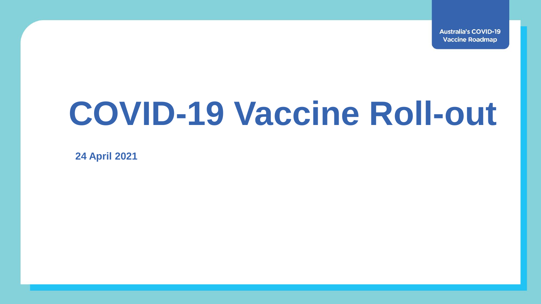**Australia's COVID-19 Vaccine Roadmap** 

# **COVID-19 Vaccine Roll-out**

**24 April 2021**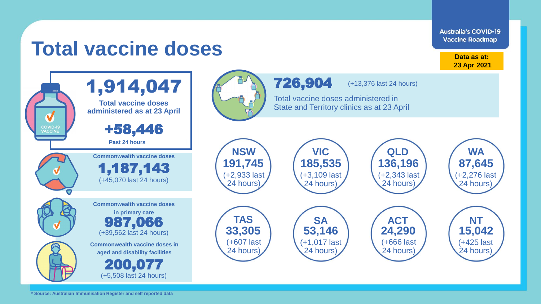**Australia's COVID-19 Vaccine Roadmap** 

## **Total vaccine doses**

**Data as at: 23 Apr 2021**



**Commonwealth vaccine doses VIC VIC VIC QLD VIC TAS SA ACT NT 191,745 185,535 136,196 87,645 33,305 53,146 24,290 15,042** (+3,109 last 24 hours) (+2,343 last 24 hours) (+2,276 last 24 hours) (+1,017 last 24 hours) (+666 last 24 hours) (+425 last 24 hours)

(+13,376 last 24 hours)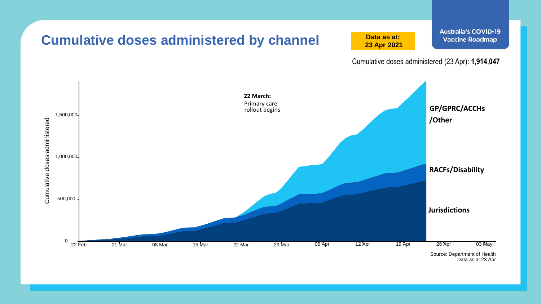

Data as at 23 Apr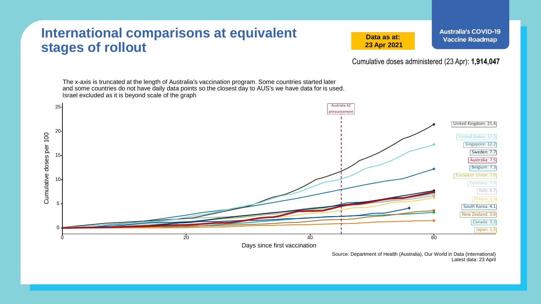#### **International comparisons at equivalent stages of rollout**

**Data as at: 23 Apr 2021**

Cumulative doses administered (23 Apr): **1,914,047**

The x-axis is truncated at the length of Australia's vaccination program. Some countries started later and some countries do not have daily data points so the closest day to AUS's we have data for is used. Israel excluded as it is beyond scale of the graph



Source: Department of Health (Australia), Our World in Data (international) Latest data: 23 April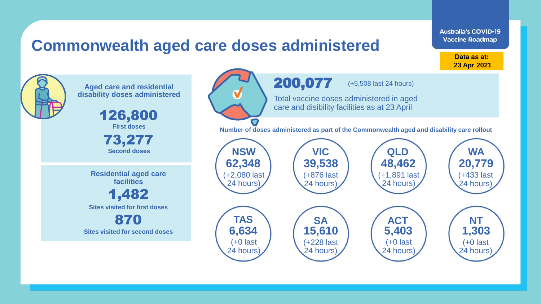### **Commonwealth aged care doses administered**

**Data as at: 23 Apr 2021**